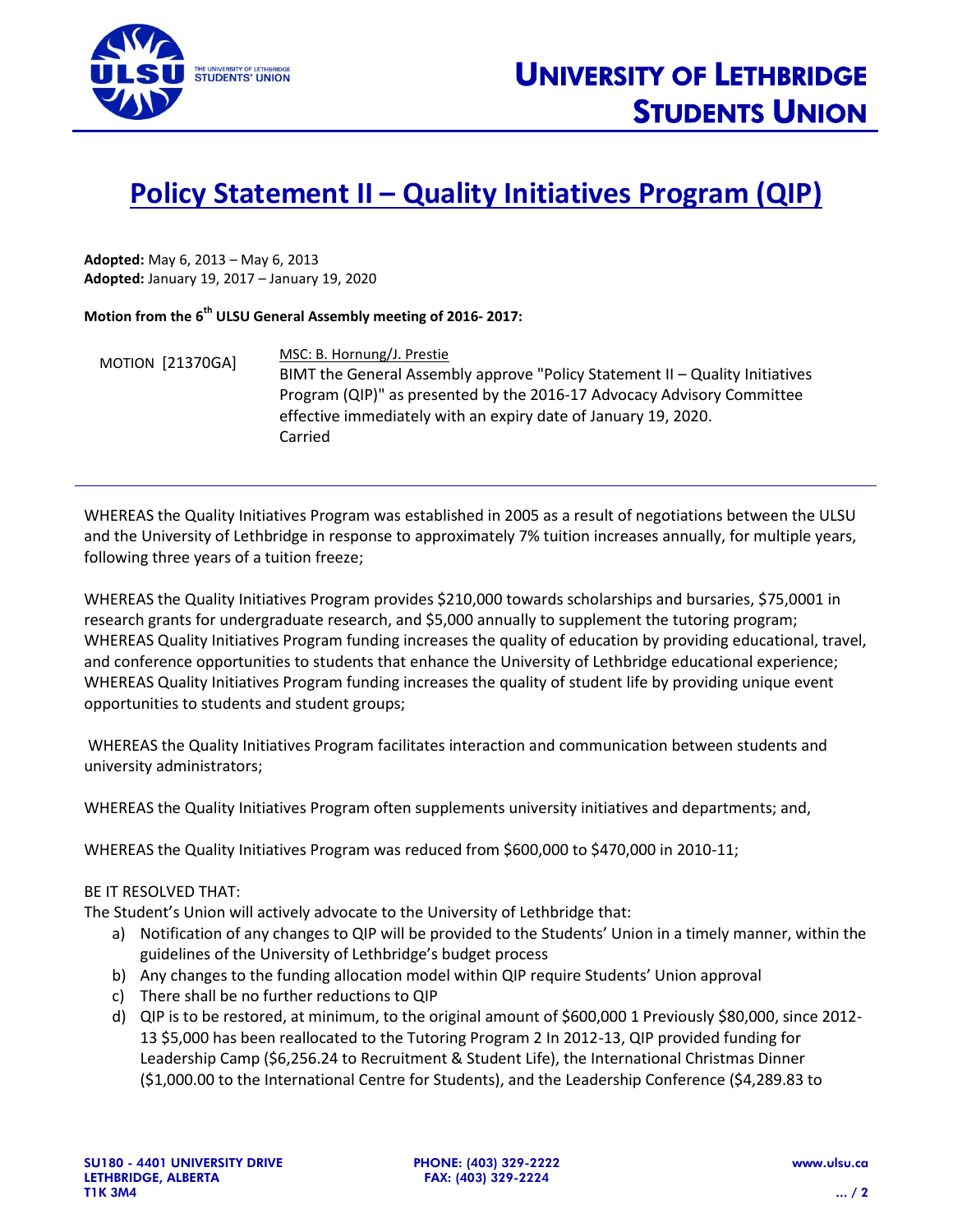

## **Policy Statement II – Quality Initiatives Program (QIP)**

**Adopted:** May 6, 2013 – May 6, 2013 **Adopted:** January 19, 2017 – January 19, 2020

**Motion from the 6 th ULSU General Assembly meeting of 2016- 2017:**

MOTION [21370GA] MSC: B. Hornung/J. Prestie BIMT the General Assembly approve "Policy Statement II – Quality Initiatives Program (QIP)" as presented by the 2016-17 Advocacy Advisory Committee effective immediately with an expiry date of January 19, 2020. Carried

WHEREAS the Quality Initiatives Program was established in 2005 as a result of negotiations between the ULSU and the University of Lethbridge in response to approximately 7% tuition increases annually, for multiple years, following three years of a tuition freeze;

WHEREAS the Quality Initiatives Program provides \$210,000 towards scholarships and bursaries, \$75,0001 in research grants for undergraduate research, and \$5,000 annually to supplement the tutoring program; WHEREAS Quality Initiatives Program funding increases the quality of education by providing educational, travel, and conference opportunities to students that enhance the University of Lethbridge educational experience; WHEREAS Quality Initiatives Program funding increases the quality of student life by providing unique event opportunities to students and student groups;

WHEREAS the Quality Initiatives Program facilitates interaction and communication between students and university administrators;

WHEREAS the Quality Initiatives Program often supplements university initiatives and departments; and,

WHEREAS the Quality Initiatives Program was reduced from \$600,000 to \$470,000 in 2010-11;

## BE IT RESOLVED THAT:

The Student's Union will actively advocate to the University of Lethbridge that:

- a) Notification of any changes to QIP will be provided to the Students' Union in a timely manner, within the guidelines of the University of Lethbridge's budget process
- b) Any changes to the funding allocation model within QIP require Students' Union approval
- c) There shall be no further reductions to QIP
- d) QIP is to be restored, at minimum, to the original amount of \$600,000 1 Previously \$80,000, since 2012- 13 \$5,000 has been reallocated to the Tutoring Program 2 In 2012-13, QIP provided funding for Leadership Camp (\$6,256.24 to Recruitment & Student Life), the International Christmas Dinner (\$1,000.00 to the International Centre for Students), and the Leadership Conference (\$4,289.83 to